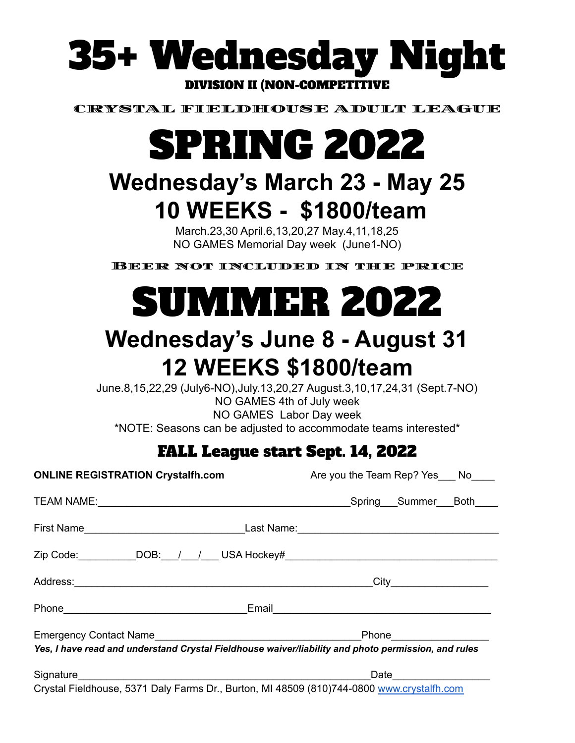

CRYSTAL FIELDHOUSE ADULT LEAGUE

# SPRING 2022

## **Wednesday's March 23 - May 25 10 WEEKS - \$1800/team**

March.23,30 April.6,13,20,27 May.4,11,18,25 NO GAMES Memorial Day week (June1-NO)

Beer not included in the price

# SUMMER 2022

## **Wednesday's June 8 - August 31 12 WEEKS \$1800/team**

June.8,15,22,29 (July6-NO),July.13,20,27 August.3,10,17,24,31 (Sept.7-NO) NO GAMES 4th of July week NO GAMES Labor Day week \*NOTE: Seasons can be adjusted to accommodate teams interested\*

### FALL League start Sept. 14, 2022

| Are you the Team Rep? Yes ___ No____                                                                                              |
|-----------------------------------------------------------------------------------------------------------------------------------|
|                                                                                                                                   |
|                                                                                                                                   |
| Zip Code: ____________DOB:___/___/____ USA Hockey#_______________________________                                                 |
|                                                                                                                                   |
|                                                                                                                                   |
| Phone ____________________<br>Yes, I have read and understand Crystal Fieldhouse waiver/liability and photo permission, and rules |
| Crystal Fieldhouse, 5371 Daly Farms Dr., Burton, MI 48509 (810)744-0800 www.crystalfh.com                                         |
|                                                                                                                                   |